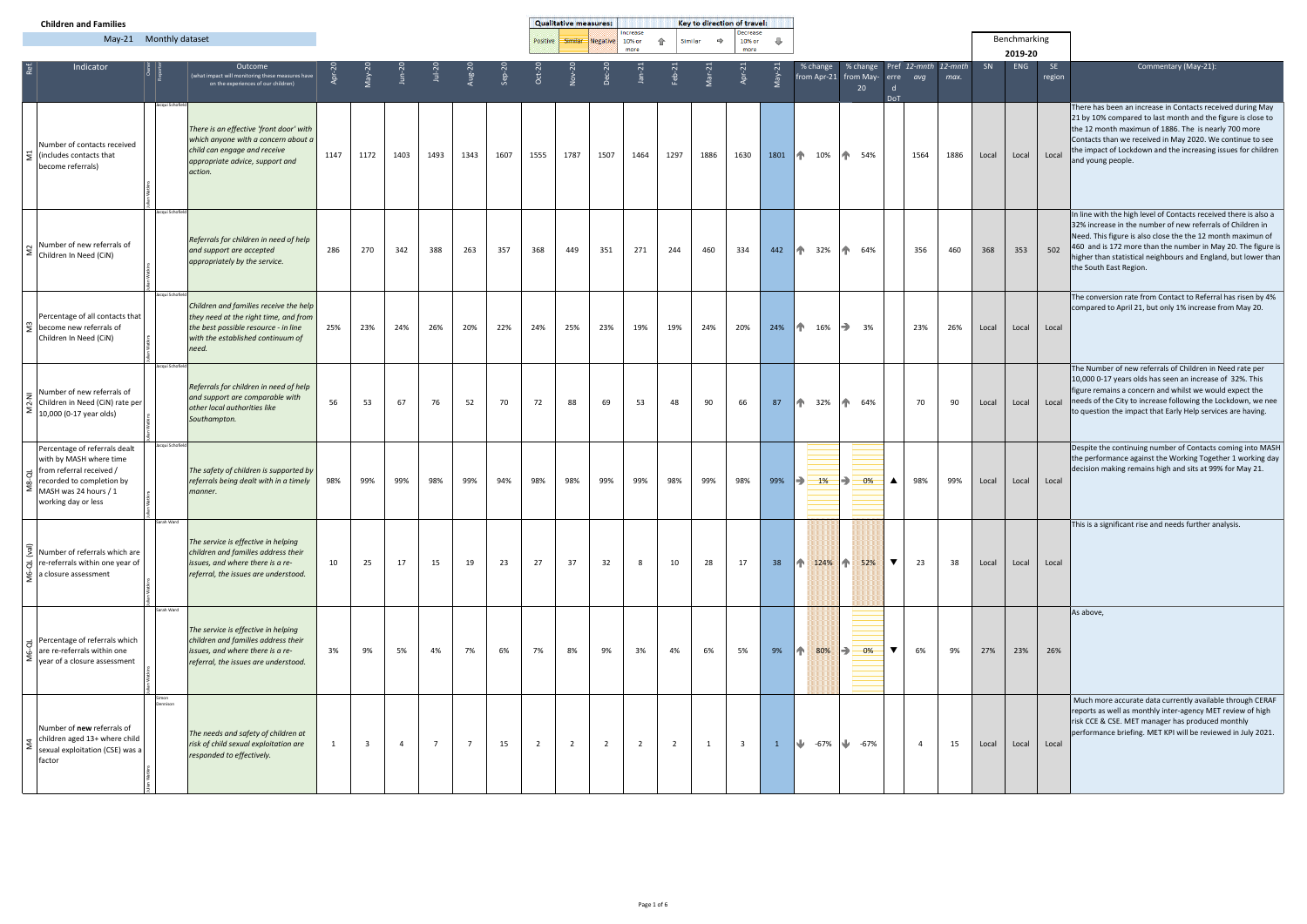| <b>Children and Families</b>                                                                                                                                                                      |                  |                                                                                                                                                                       |        |                         |                |                |                |         | <b>Qualitative measures:</b> |                |                |                            |                | Key to direction of travel: |                            |              |                                        |                                                                                  |                |      |       |                |               |                                                                                                                                                                                                                                                                                                                                                           |
|---------------------------------------------------------------------------------------------------------------------------------------------------------------------------------------------------|------------------|-----------------------------------------------------------------------------------------------------------------------------------------------------------------------|--------|-------------------------|----------------|----------------|----------------|---------|------------------------------|----------------|----------------|----------------------------|----------------|-----------------------------|----------------------------|--------------|----------------------------------------|----------------------------------------------------------------------------------|----------------|------|-------|----------------|---------------|-----------------------------------------------------------------------------------------------------------------------------------------------------------------------------------------------------------------------------------------------------------------------------------------------------------------------------------------------------------|
| May-21 Monthly dataset                                                                                                                                                                            |                  |                                                                                                                                                                       |        |                         |                |                |                |         | <b>Positive</b>              | Similar        | Negative       | Increase<br>10% or<br>more | 企<br>Similar   | $\Rightarrow$               | Decrease<br>10% or<br>more | ⊕            |                                        |                                                                                  |                |      |       | Benchmarking   |               |                                                                                                                                                                                                                                                                                                                                                           |
| Indicator                                                                                                                                                                                         |                  | Outcome<br>(what impact will monitoring these measures have<br>on the experiences of our children)                                                                    | Apr-20 | $1a$ y-20               | $\nu = 20$     | $Jul-2$        |                | $Sep-2$ | $Oct-2$                      |                |                |                            |                |                             |                            |              | % change                               | % change Pref 12-mnth 12-mnth<br>$from Apr-21$ from May- erre $avg$<br>20<br>DoT |                | max. | SN    | 2019-20<br>ENG | SE.<br>region | Commentary (May-21):                                                                                                                                                                                                                                                                                                                                      |
| Number of contacts received<br>$\sum$ (includes contacts that<br>become referrals)                                                                                                                | Jacqui Schofiel  | There is an effective 'front door' with<br>which anyone with a concern about a<br>child can engage and receive<br>appropriate advice, support and<br>action.          | 1147   | 1172                    | 1403           | 1493           | 1343           | 1607    | 1555                         | 1787           | 1507           | 1464                       | 1297           | 1886                        | 1630                       |              | 1801 10% 10% 54%                       |                                                                                  | 1564           | 1886 | Local | Local          | Local         | There has been an increase in Contacts received during May<br>21 by 10% compared to last month and the figure is close to<br>the 12 month maximun of 1886. The is nearly 700 more<br>Contacts than we received in May 2020. We continue to see<br>the impact of Lockdown and the increasing issues for children<br>and young people.                      |
| $\sum_{i=1}^{N} \frac{1}{\text{Number of new refer} \times \text{S}}$                                                                                                                             | Jacqui Schofield | Referrals for children in need of help<br>and support are accepted<br>appropriately by the service.                                                                   | 286    | 270                     | 342            | 388            | 263            | 357     | 368                          | 449            | 351            | 271                        | 244            | 460                         | 334                        | 442          | 1 32% 1 64%                            |                                                                                  | 356            | 460  | 368   | 353            | 502           | In line with the high level of Contacts received there is also a<br>32% increase in the number of new referrals of Children in<br>Need. This figure is also close the the 12 month maximun of<br>460 and is 172 more than the number in May 20. The figure is<br>higher than statistical neighbours and England, but lower than<br>the South East Region. |
| Percentage of all contacts that<br>$\sum_{n=1}^{\infty}$ become new referrals of<br>Children In Need (CiN)                                                                                        | Jacqui Schofield | Children and families receive the help<br>they need at the right time, and from<br>the best possible resource - in line<br>with the established continuum of<br>need. | 25%    | 23%                     | 24%            | 26%            | 20%            | 22%     | 24%                          | 25%            | 23%            | 19%                        | 19%            | 24%                         | 20%                        | 24%          | $\parallel \uparrow$ 16% $\rightarrow$ | 3%                                                                               | 23%            | 26%  | Local | Local          | Local         | The conversion rate from Contact to Referral has risen by 4%<br>compared to April 21, but only 1% increase from May 20.                                                                                                                                                                                                                                   |
| $\frac{1}{2}$ Number of new referrals of<br>지 Children in Need (CiN) rate per<br>10,000 (0-17 year olds)                                                                                          | Jacqui Schofield | Referrals for children in need of help<br>and support are comparable with<br>other local authorities like<br>Southampton.                                             | 56     | 53                      | 67             | 76             | 52             | 70      | 72                           | 88             | 69             | 53                         | 48             | 90                          | 66                         | 87           | 1 32% 1 64%                            |                                                                                  | 70             | 90   | Local | Local          | Local         | The Number of new referrals of Children in Need rate per<br>10,000 0-17 years olds has seen an increase of 32%. This<br>figure remains a concern and whilst we would expect the<br>needs of the City to increase following the Lockdown, we nee<br>to question the impact that Early Help services are having.                                            |
| Percentage of referrals dealt<br>with by MASH where time<br>$\vec{a}$ from referral received /<br>$\vec{\omega}$ recorded to completion by<br>$\sum$ MASH was 24 hours / 1<br>working day or less | Jacqui Schofield | The safety of children is supported by<br>referrals being dealt with in a timely<br>manner.                                                                           | 98%    | 99%                     | 99%            | 98%            | 99%            | 94%     | 98%                          | 98%            | 99%            | 99%                        | 98%            | 99%                         | 98%                        | 99%          | $\Rightarrow$<br>$1\%$                 | B)<br>0%<br>$\blacktriangle$                                                     | 98%            | 99%  | Local | Local          | Local         | Despite the continuing number of Contacts coming into MASH<br>the performance against the Working Together 1 working day<br>decision making remains high and sits at 99% for May 21.                                                                                                                                                                      |
| Number of referrals which are<br>$\vec{\sigma}$ re-referrals within one year of<br>a closure assessment                                                                                           | Sarah Ward       | The service is effective in helping<br>children and families address their<br>issues, and where there is a re-<br>referral, the issues are understood.                | 10     | 25                      | 17             | 15             | 19             | 23      | 27                           | 37             | 32             | 8                          | 10             | 28                          | 17                         | 38           | 124% 1 52%                             | $\blacktriangledown$                                                             | 23             | 38   | Local | Local          | Local         | This is a significant rise and needs further analysis.                                                                                                                                                                                                                                                                                                    |
| $\frac{1}{\sigma}$ Percentage of referrals which<br>are re-referrals within one<br>$\bar{\Sigma}$ year of a closure assessment                                                                    | Sarah Ward       | The service is effective in helping<br>children and families address their<br>issues, and where there is a re-<br>referral, the issues are understood.                | 3%     | 9%                      | 5%             | 4%             | 7%             | 6%      | 7%                           | 8%             | 9%             | 3%                         | 4%             | 6%                          | 5%                         | 9%           | 个<br>80%                               | $\blacktriangledown$<br>౹⋺<br>0%                                                 | 6%             | 9%   | 27%   | 23%            | 26%           | As above,                                                                                                                                                                                                                                                                                                                                                 |
| Number of new referrals of<br>$\begin{array}{ l l }\n\hline\n\Xi & \text{children aged 13+ where child}\\ \hline\n\Xi & \text{sexual exploitation (CSE) was a}\\ \hline\n\end{array}$<br>factor   | Dennison         | The needs and safety of children at<br>risk of child sexual exploitation are<br>responded to effectively.                                                             | 1      | $\overline{\mathbf{3}}$ | $\overline{4}$ | $\overline{7}$ | $\overline{7}$ | 15      | $\overline{2}$               | $\overline{2}$ | $\overline{2}$ | $\overline{2}$             | $\overline{2}$ |                             | $\overline{\mathbf{3}}$    | $\mathbf{1}$ | ₩ -67% ₩ -67%                          |                                                                                  | $\overline{4}$ | 15   | Local | Local          | Local         | Much more accurate data currently available through CERAF<br>reports as well as monthly inter-agency MET review of high<br>risk CCE & CSE. MET manager has produced monthly<br>performance briefing. MET KPI will be reviewed in July 2021.                                                                                                               |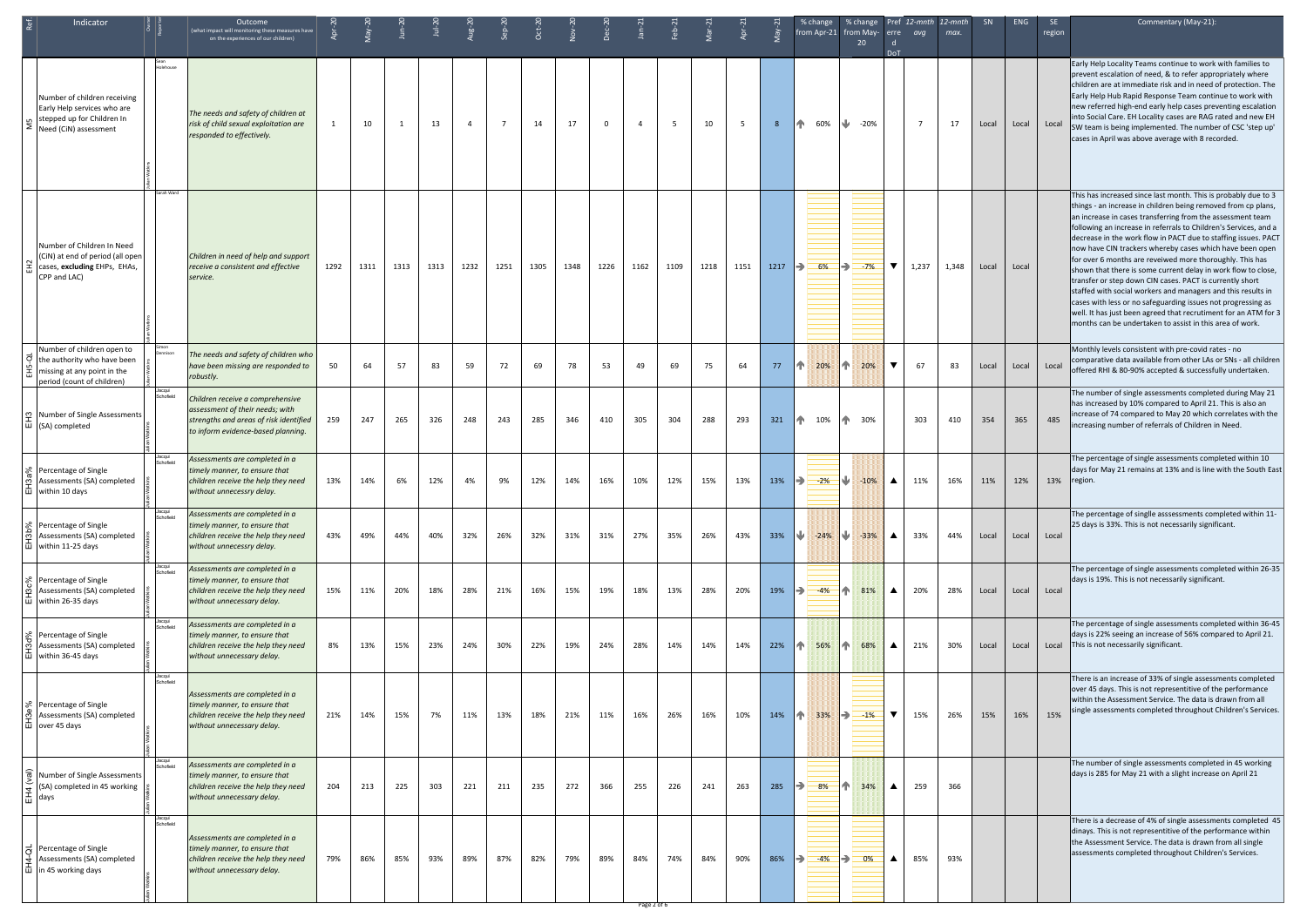| Indicator                                                                                                                                      |                     | Outcome<br>(what impact will monitoring these measures have<br>on the experiences of our children)                                                  |      |      |                |      |                |                |      |      |              |                    |      |      |      |      | % change<br>from Apr-21 from May- erre<br>20         | <b>DoT</b>              | avg            | % change Pref 12-mnth 12-mnth<br>max. | <b>SN</b> | <b>ENG</b>  | SE.<br>region | Commentary (May-21):                                                                                                                                                                                                                                                                                                                                                                                                                                                                                                                                                                                                                                                                                                                                                                                                                                    |
|------------------------------------------------------------------------------------------------------------------------------------------------|---------------------|-----------------------------------------------------------------------------------------------------------------------------------------------------|------|------|----------------|------|----------------|----------------|------|------|--------------|--------------------|------|------|------|------|------------------------------------------------------|-------------------------|----------------|---------------------------------------|-----------|-------------|---------------|---------------------------------------------------------------------------------------------------------------------------------------------------------------------------------------------------------------------------------------------------------------------------------------------------------------------------------------------------------------------------------------------------------------------------------------------------------------------------------------------------------------------------------------------------------------------------------------------------------------------------------------------------------------------------------------------------------------------------------------------------------------------------------------------------------------------------------------------------------|
| Number of children receiving<br>Early Help services who are<br>n stepped up for Children In<br>$\sum$ Need (CiN) assessment                    | <b>Holehouse</b>    | The needs and safety of children at<br>risk of child sexual exploitation are<br>responded to effectively.                                           |      | 10   | $\overline{1}$ | 13   | $\overline{4}$ | $\overline{7}$ | 14   | 17   | $\mathbf{0}$ | $\overline{4}$     | -5   | 10   | 5    | 8    | $\sqrt{2}$<br>PP.<br>60%<br>-20%                     |                         | $\overline{7}$ | 17                                    | Local     |             | Local Local   | Early Help Locality Teams continue to work with families to<br>prevent escalation of need, & to refer appropriately where<br>children are at immediate risk and in need of protection. The<br>Early Help Hub Rapid Response Team continue to work with<br>new referred high-end early help cases preventing escalation<br>into Social Care. EH Locality cases are RAG rated and new EH<br>SW team is being implemented. The number of CSC 'step up'<br>cases in April was above average with 8 recorded.                                                                                                                                                                                                                                                                                                                                                |
| Number of Children In Need<br>(CiN) at end of period (all open<br>$\vec{E}$ cases, excluding EHPs, EHAs,<br>CPP and LAC)                       | Sarah Ward          | Children in need of help and support<br>receive a consistent and effective<br>service.                                                              | 1292 | 1311 | 1313           | 1313 | 1232           | 1251           | 1305 | 1348 | 1226         | 1162               | 1109 | 1218 | 1151 | 1217 | $\Rightarrow$<br>6%<br>$\Rightarrow$<br>$-7%$        | ▼                       | 1,237          | 1,348                                 | Local     | Local       |               | This has increased since last month. This is probably due to 3<br>things - an increase in children being removed from cp plans,<br>an increase in cases transferring from the assessment team<br>following an increase in referrals to Children's Services, and a<br>decrease in the work flow in PACT due to staffing issues. PACT<br>now have CIN trackers whereby cases which have been open<br>for over 6 months are reveiwed more thoroughly. This has<br>shown that there is some current delay in work flow to close,<br>transfer or step down CIN cases. PACT is currently short<br>staffed with social workers and managers and this results in<br>cases with less or no safeguarding issues not progressing as<br>well. It has just been agreed that recrutiment for an ATM for 3<br>months can be undertaken to assist in this area of work. |
| Number of children open to<br>o the authority who have been<br>$\Xi$ missing at any point in the<br>period (count of children)                 |                     | The needs and safety of children who<br>have been missing are responded to<br>robustly.                                                             | 50   | 64   | 57             | 83   | 59             | 72             | 69   | 78   | 53           | 49                 | 69   | 75   | 64   | 77   | 20%<br>$\bigcap$<br>ńП.<br>20%                       | $\overline{\textbf{v}}$ | 67             | 83                                    | Local     | Local       | Local         | Monthly levels consistent with pre-covid rates - no<br>comparative data available from other LAs or SNs - all children<br>offered RHI & 80-90% accepted & successfully undertaken.                                                                                                                                                                                                                                                                                                                                                                                                                                                                                                                                                                                                                                                                      |
| Φ Number of Single Assessments<br>$ \vec{u} $ (SA) completed                                                                                   | Schofield           | Children receive a comprehensive<br>assessment of their needs; with<br>strengths and areas of risk identified<br>to inform evidence-based planning. | 259  | 247  | 265            | 326  | 248            | 243            | 285  | 346  | 410          | 305                | 304  | 288  | 293  |      | 321 1 10% 1 30%                                      |                         | 303            | 410                                   | 354       | 365         | 485           | The number of single assessments completed during May 21<br>has increased by 10% compared to April 21. This is also an<br>increase of 74 compared to May 20 which correlates with the<br>increasing number of referrals of Children in Need.                                                                                                                                                                                                                                                                                                                                                                                                                                                                                                                                                                                                            |
| $\&$ Percentage of Single<br>o Assessments (SA) completed<br>  山   within 10 days                                                              | Schofield           | Assessments are completed in a<br>timely manner, to ensure that<br>children receive the help they need<br>without unnecessry delay.                 | 13%  | 14%  | 6%             | 12%  | 4%             | 9%             | 12%  | 14%  | 16%          | 10%                | 12%  | 15%  | 13%  | 13%  | $\Rightarrow$ 2%<br>$\blacksquare \blacksquare$ -10% | $\blacktriangle$        | 11%            | 16%                                   | 11%       | 12%         | 13%           | The percentage of single assessments completed within 10<br>days for May 21 remains at 13% and is line with the South East<br>region.                                                                                                                                                                                                                                                                                                                                                                                                                                                                                                                                                                                                                                                                                                                   |
| S Percentage of Single<br>Assessments (SA) completed<br>$\overline{\text{u}}$ within 11-25 days                                                | Schofield           | Assessments are completed in a<br>timely manner, to ensure that<br>children receive the help they need<br>without unnecessry delay.                 | 43%  | 49%  | 44%            | 40%  | 32%            | 26%            | 32%  | 31%  | 31%          | 27%                | 35%  | 26%  | 43%  | 33%  | JJ 3<br>$-24\%$ $\frac{1}{2}$ $-33\%$                | $\blacktriangle$        | 33%            | 44%                                   | Local     | Local       | Local         | The percentage of singlle asssessments completed within 11-<br>25 days is 33%. This is not necessarily significant.                                                                                                                                                                                                                                                                                                                                                                                                                                                                                                                                                                                                                                                                                                                                     |
| Percentage of Single<br>Assessments (SA) completed<br>山 within 26-35 days                                                                      | Jacqui<br>Schofield | Assessments are completed in a<br>timely manner, to ensure that<br>children receive the help they need<br>without unnecessary delay.                | 15%  | 11%  | 20%            | 18%  | 28%            | 21%            | 16%  | 15%  | 19%          | 18%                | 13%  | 28%  | 20%  | 19%  | 目个《<br>$\Rightarrow$<br>$-4%$<br>81%                 | ▲                       | 20%            | 28%                                   | Local     | Local Local |               | The percentage of single assessments completed within 26-35<br>days is 19%. This is not necessarily significant.                                                                                                                                                                                                                                                                                                                                                                                                                                                                                                                                                                                                                                                                                                                                        |
| S Percentage of Single<br><u>ल</u> Assessments (SA) completed<br>$\overline{\text{m}}$ within 36-45 days                                       | Schofield           | Assessments are completed in a<br>timely manner, to ensure that<br>children receive the help they need<br>without unnecessary delay.                | 8%   | 13%  | 15%            | 23%  | 24%            | 30%            | 22%  | 19%  | 24%          | 28%                | 14%  | 14%  | 14%  | 22%  | $\bigcap$<br>个!<br>56%<br>68%                        | ▲                       | 21%            | 30%                                   | Local     | Local       |               | The percentage of single assessments completed within 36-45<br>days is 22% seeing an increase of 56% compared to April 21.<br>Local This is not necessarily significant.                                                                                                                                                                                                                                                                                                                                                                                                                                                                                                                                                                                                                                                                                |
| S Percentage of Single<br>Assessments (SA) completed<br>$\overline{\mathbf{u}}$ over 45 days                                                   | Jacqui<br>Schofield | Assessments are completed in a<br>timely manner, to ensure that<br>children receive the help they need<br>without unnecessary delay.                | 21%  | 14%  | 15%            | 7%   | 11%            | 13%            | 18%  | 21%  | 11%          | 16%                | 26%  | 16%  | 10%  | 14%  | 个<br>33%<br>▌▅<br>$-1\%$                             | $\blacktriangledown$    | 15%            | 26%                                   | 15%       | 16%         | 15%           | There is an increase of 33% of single assessments completed<br>over 45 days. This is not representitive of the performance<br>within the Assessment Service. The data is drawn from all<br>single assessments completed throughout Children's Services.                                                                                                                                                                                                                                                                                                                                                                                                                                                                                                                                                                                                 |
| $\overline{\overline{\mathfrak{G}}}$ Number of Single Assessments<br>$\leftarrow$ (SA) completed in 45 working<br>$\overline{\mathbf{H}}$ days | Schofield           | Assessments are completed in a<br>timely manner, to ensure that<br>children receive the help they need<br>without unnecessary delay.                | 204  | 213  | 225            | 303  | 221            | 211            | 235  | 272  | 366          | 255                | 226  | 241  | 263  | 285  | $\sqrt{1}$<br>$\Rightarrow$<br>8%<br>34%             | ▲                       | 259            | 366                                   |           |             |               | The number of single assessments completed in 45 working<br>days is 285 for May 21 with a slight increase on April 21                                                                                                                                                                                                                                                                                                                                                                                                                                                                                                                                                                                                                                                                                                                                   |
| $\vec{\sigma}$ Percentage of Single<br>Assessments (SA) completed<br>$\frac{1}{10}$ in 45 working days                                         | Schofield           | Assessments are completed in a<br>timely manner, to ensure that<br>children receive the help they need<br>without unnecessary delay.                | 79%  | 86%  | 85%            | 93%  | 89%            | 87%            | 82%  | 79%  | 89%          | 84%<br>Page 2 of 6 | 74%  | 84%  | 90%  | 86%  | $\Rightarrow$<br>$-4%$<br>IÐ.<br>$-0\%$              | ▲                       | 85%            | 93%                                   |           |             |               | There is a decrease of 4% of single assessments completed 45<br>dinays. This is not representitive of the performance within<br>the Assessment Service. The data is drawn from all single<br>assessments completed throughout Children's Services.                                                                                                                                                                                                                                                                                                                                                                                                                                                                                                                                                                                                      |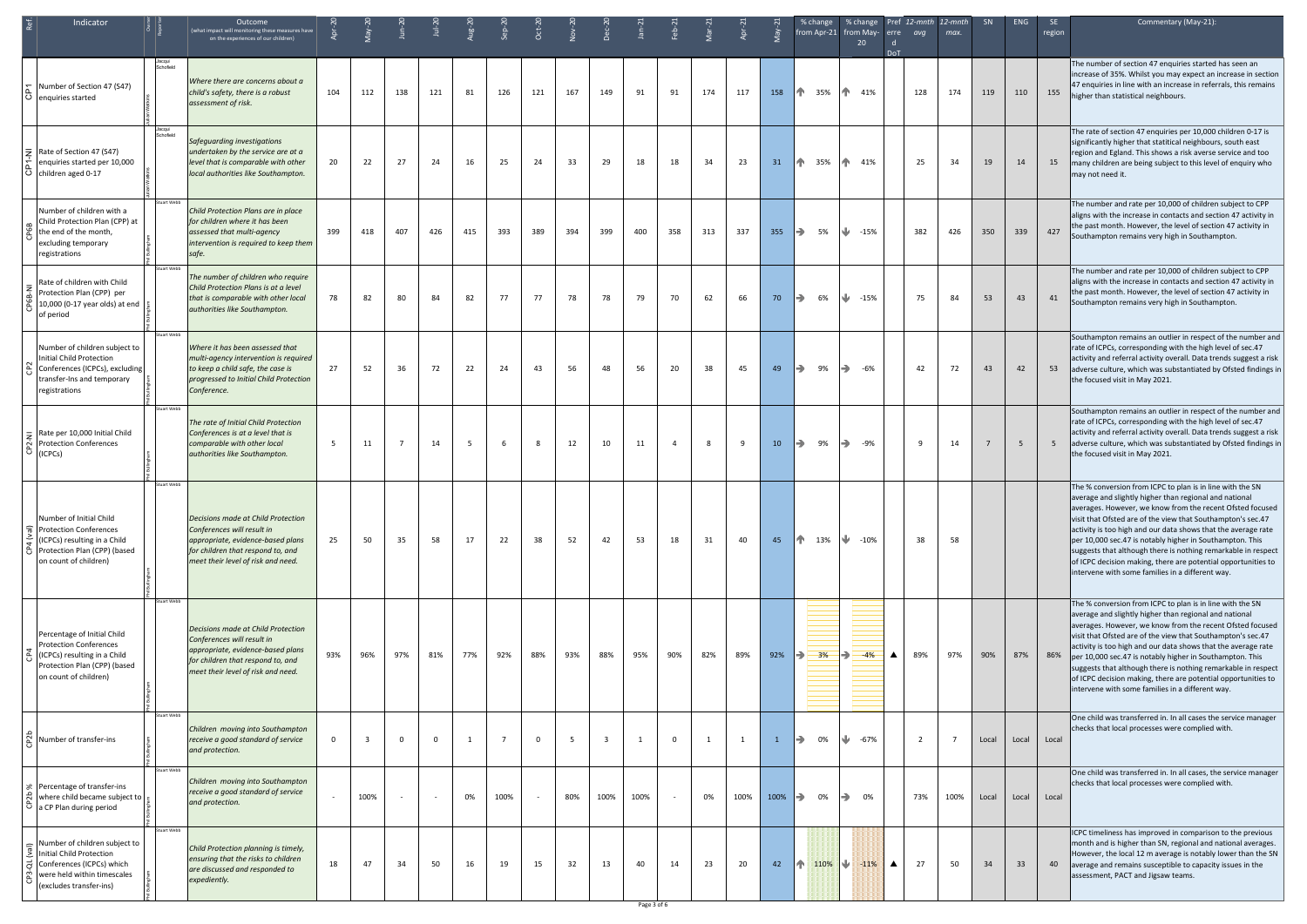| Indicator                                                                                                                                             |                    | Outcome<br>(what impact will monitoring these measures have<br>on the experiences of our children)                                                                               |              |                         |                | ∕-ا∪ر<br>1 | $\mu$ g-2 | $\frac{1}{2}$  | $Oct-2$ |     |      |                   |     |     |      |         | $%$ change<br>from Apr-21 from May- erre | 20                     | % change Pref 12-mnth 12-mnth<br>avq<br>DoT | max.           | SN    | ENG   | SE<br>region | Commentary (May-21):                                                                                                                                                                                                                                                                                                                                                                                                                                                                                                                                               |
|-------------------------------------------------------------------------------------------------------------------------------------------------------|--------------------|----------------------------------------------------------------------------------------------------------------------------------------------------------------------------------|--------------|-------------------------|----------------|------------|-----------|----------------|---------|-----|------|-------------------|-----|-----|------|---------|------------------------------------------|------------------------|---------------------------------------------|----------------|-------|-------|--------------|--------------------------------------------------------------------------------------------------------------------------------------------------------------------------------------------------------------------------------------------------------------------------------------------------------------------------------------------------------------------------------------------------------------------------------------------------------------------------------------------------------------------------------------------------------------------|
| Number of Section 47 (S47)<br>  Ö   enquiries started                                                                                                 | Schofield          | Where there are concerns about a<br>child's safety, there is a robust<br>assessment of risk.                                                                                     | 104          | 112                     | 138            | 121        | 81        | 126            | 121     | 167 | 149  | 91                | 91  | 174 | 117  | 158     | 1 35% 1 41%                              |                        | 128                                         | 174            | 119   | 110   | 155          | The number of section 47 enquiries started has seen an<br>increase of 35%. Whilst you may expect an increase in section<br>47 enquiries in line with an increase in referrals, this remains<br>higher than statistical neighbours.                                                                                                                                                                                                                                                                                                                                 |
| $\overline{5}$ Rate of Section 47 (S47)<br>enquiries started per 10,000<br>$ \ddot{\circ} $ children aged 0-17                                        | Schofield          | Safeguarding investigations<br>undertaken by the service are at a<br>level that is comparable with other<br>local authorities like Southampton.                                  | 20           | 22                      | 27             | 24         | 16        | 25             | 24      | 33  | 29   | 18                | 18  | 34  | 23   | 31      | 1 35%                                    | $\sqrt{1}$<br>41%      | 25                                          | 34             | 19    | 14    | 15           | The rate of section 47 enquiries per 10,000 children 0-17 is<br>significantly higher that statitical neighbours, south east<br>region and Egland. This shows a risk averse service and too<br>many children are being subject to this level of enquiry who<br>may not need it.                                                                                                                                                                                                                                                                                     |
| Number of children with a<br>Child Protection Plan (CPP) at<br>the end of the month,<br>excluding temporary<br>registrations                          | <b>Stuart Webb</b> | Child Protection Plans are in place<br>for children where it has been<br>assessed that multi-agency<br>intervention is required to keep them<br>safe.                            | 399          | 418                     | 407            | 426        | 415       | 393            | 389     | 394 | 399  | 400               | 358 | 313 | 337  | 355     | $\rightarrow$<br>5%                      | $\frac{1}{2}$ -15%     | 382                                         | 426            | 350   | 339   | 427          | The number and rate per 10,000 of children subject to CPP<br>aligns with the increase in contacts and section 47 activity in<br>the past month. However, the level of section 47 activity in<br>Southampton remains very high in Southampton.                                                                                                                                                                                                                                                                                                                      |
| Rate of children with Child<br>Protection Plan (CPP) per<br>10,000 (0-17 year olds) at end<br>of period                                               | <b>Stuart Webb</b> | The number of children who require<br>Child Protection Plans is at a level<br>that is comparable with other local<br>authorities like Southampton.                               | 78           | 82                      | 80             | 84         | 82        | 77             | 77      | 78  | 78   | 79                | 70  | 62  | 66   | 70      | $\Rightarrow$<br>6%                      | U.<br>$-15%$           | 75                                          | 84             | 53    | 43    | 41           | The number and rate per 10,000 of children subject to CPP<br>aligns with the increase in contacts and section 47 activity in<br>the past month. However, the level of section 47 activity in<br>Southampton remains very high in Southampton.                                                                                                                                                                                                                                                                                                                      |
| Number of children subject to<br>Initial Child Protection<br>Conferences (ICPCs), excluding<br>transfer-Ins and temporary<br>registrations            | Stuart Webb        | Where it has been assessed that<br>multi-agency intervention is required<br>to keep a child safe, the case is<br>progressed to Initial Child Protection<br>Conference.           | 27           | 52                      | 36             | 72         | 22        | 24             | 43      | 56  | 48   | 56                | 20  | 38  | 45   | 49      | $\Rightarrow$<br>9%                      | $\Rightarrow$<br>-6%   | 42                                          | 72             | 43    | 42    | 53           | Southampton remains an outlier in respect of the number and<br>rate of ICPCs, corresponding with the high level of sec.47<br>activity and referral activity overall. Data trends suggest a risk<br>adverse culture, which was substantiated by Ofsted findings in<br>the focused visit in May 2021.                                                                                                                                                                                                                                                                |
| $\frac{1}{2}$ Rate per 10,000 Initial Child<br>Protection Conferences<br>$ \ddot{\circ} $ (ICPCs)                                                     | <b>Stuart Webb</b> | The rate of Initial Child Protection<br>Conferences is at a level that is<br>comparable with other local<br>authorities like Southampton.                                        | 5            | 11                      | $\overline{7}$ | 14         | - 5       | 6              | -8      | 12  | 10   | 11                | 4   | 8   | -9   | 10      | $\rightarrow$<br>9%                      | $\Rightarrow$<br>-9%   | q                                           | 14             |       | 5     |              | Southampton remains an outlier in respect of the number and<br>rate of ICPCs, corresponding with the high level of sec.47<br>activity and referral activity overall. Data trends suggest a risk<br>adverse culture, which was substantiated by Ofsted findings in<br>the focused visit in May 2021.                                                                                                                                                                                                                                                                |
| Number of Initial Child<br>Protection Conferences<br>(ICPCs) resulting in a Child<br>Protection Plan (CPP) (based<br>on count of children)            | <b>Stuart Webb</b> | Decisions made at Child Protection<br>Conferences will result in<br>appropriate, evidence-based plans<br>for children that respond to, and<br>meet their level of risk and need. | 25           | 50                      | 35             | 58         | 17        | 22             | 38      | 52  | 42   | 53                | 18  | 31  | 40   | 45      | 13%                                      | $\frac{1}{2}$ -10%     | 38                                          | 58             |       |       |              | The % conversion from ICPC to plan is in line with the SN<br>average and slightly higher than regional and national<br>averages. However, we know from the recent Ofsted focused<br>visit that Ofsted are of the view that Southampton's sec.47<br>activity is too high and our data shows that the average rate<br>per 10,000 sec.47 is notably higher in Southampton. This<br>suggests that although there is nothing remarkable in respect<br>of ICPC decision making, there are potential opportunities to<br>intervene with some families in a different way. |
| Percentage of Initial Child<br><b>Protection Conferences</b><br>(ICPCs) resulting in a Child<br>Protection Plan (CPP) (based<br>on count of children) | <b>Stuart Webb</b> | Decisions made at Child Protection<br>Conferences will result in<br>appropriate, evidence-based plans<br>for children that respond to, and<br>meet their level of risk and need. | 93%          | 96%                     | 97%            | 81%        | 77%       | 92%            | 88%     | 93% | 88%  | 95%               | 90% | 82% | 89%  | 92%     | ÞI<br>3%                                 | $\Rightarrow$<br>$-4%$ | 89%<br>$\blacktriangle$                     | 97%            | 90%   | 87%   | 86%          | The % conversion from ICPC to plan is in line with the SN<br>average and slightly higher than regional and national<br>averages. However, we know from the recent Ofsted focused<br>visit that Ofsted are of the view that Southampton's sec.47<br>activity is too high and our data shows that the average rate<br>per 10,000 sec.47 is notably higher in Southampton. This<br>suggests that although there is nothing remarkable in respect<br>of ICPC decision making, there are potential opportunities to<br>intervene with some families in a different way. |
| Number of transfer-ins                                                                                                                                | <b>Stuart Webb</b> | Children moving into Southampton<br>receive a good standard of service<br>and protection.                                                                                        | $\mathbf{0}$ | $\overline{\mathbf{3}}$ | $\Omega$       | 0          | 1         | $\overline{7}$ | 0       | -5  | 3    | 1                 | 0   | 1   | 1    |         | $\Rightarrow$<br>0%                      | N.<br>-67%             | 2                                           | $\overline{7}$ | Local | Local | Local        | One child was transferred in. In all cases the service manager<br>checks that local processes were complied with.                                                                                                                                                                                                                                                                                                                                                                                                                                                  |
| & Percentage of transfer-ins<br>where child became subject to<br>$\overline{O}$ a CP Plan during period                                               | <b>Stuart Webb</b> | Children moving into Southampton<br>receive a good standard of service<br>and protection.                                                                                        | $\sim$       | 100%                    |                | $\sim$     | 0%        | 100%           |         | 80% | 100% | 100%              |     | 0%  | 100% | $100\%$ | 0%                                       | $\Rightarrow$<br>0%    | 73%                                         | 100%           | Local | Local | Local        | One child was transferred in. In all cases, the service manager<br>checks that local processes were complied with.                                                                                                                                                                                                                                                                                                                                                                                                                                                 |
| Number of children subject to<br>Initial Child Protection<br>궁 Conferences (ICPCs) which<br>were held within timescales<br>(excludes transfer-ins)    | <b>Stuart Webb</b> | Child Protection planning is timely,<br>ensuring that the risks to children<br>are discussed and responded to<br>expediently.                                                    | 18           | 47                      | 34             | 50         | 16        | 19             | 15      | 32  | 13   | 40<br>Page 3 of 6 | 14  | 23  | 20   | 42      | $\uparrow$ 110% $\downarrow$             | $-11%$                 | 27<br>▲                                     | 50             | 34    | 33    | 40           | ICPC timeliness has improved in comparison to the previous<br>month and is higher than SN, regional and national averages.<br>However, the local 12 m average is notably lower than the SN<br>average and remains susceptible to capacity issues in the<br>assessment, PACT and Jigsaw teams.                                                                                                                                                                                                                                                                      |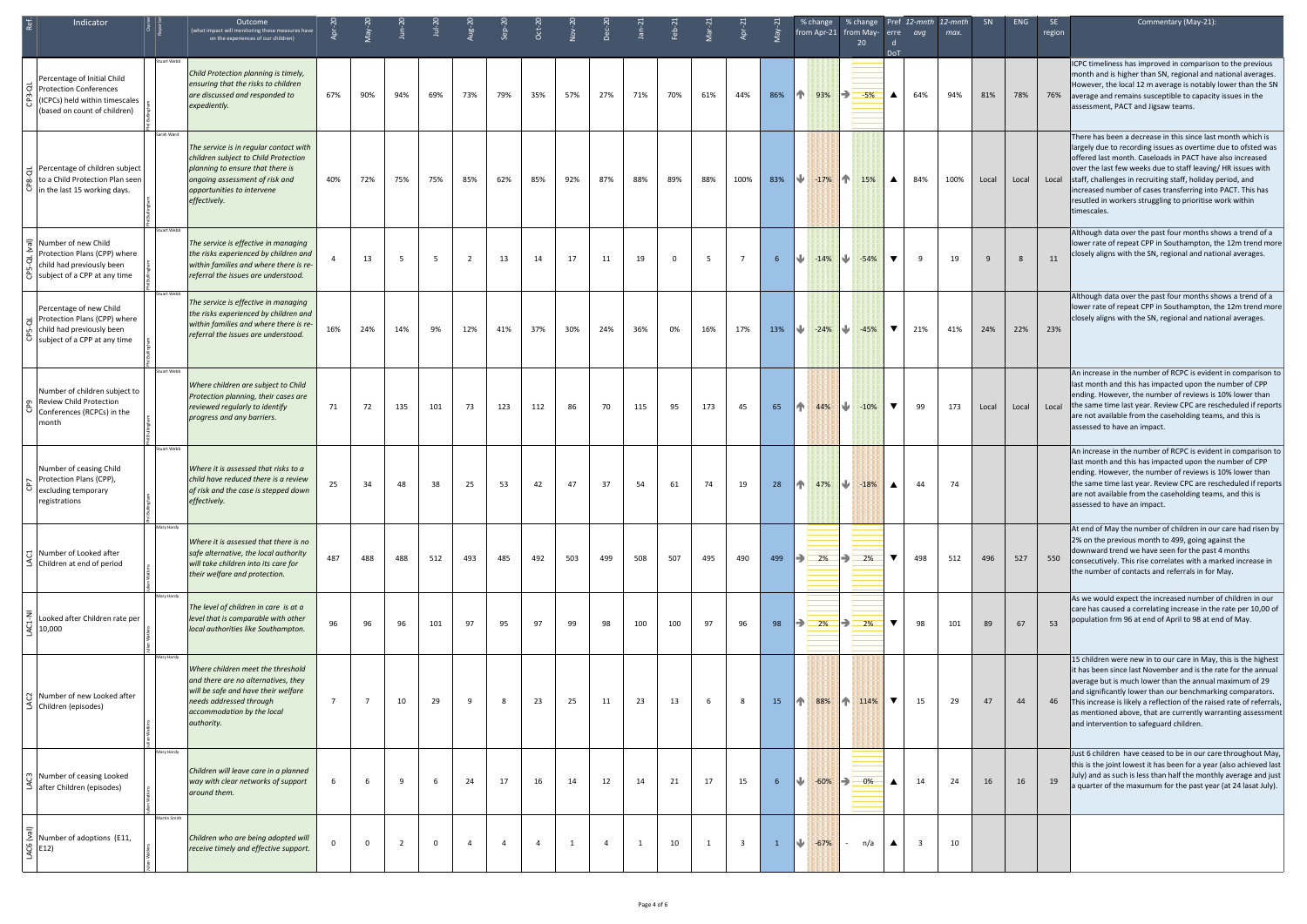| Indicator                                                                                                                             |                    | Outcome<br>(what impact will monitoring these measures have<br>on the experiences of our children)                                                                                                 |                |                |                |             |                |                |                |     |                |     |     |     |                         |              | % change                         | % change<br>from Apr-21 from May- erre<br>20 | <b>DoT</b>              | avq                     | Pref 12-mnth 12-mnth<br>max. | SN           | <b>ENG</b> | <b>SE</b><br>region | Commentary (May-21):                                                                                                                                                                                                                                                                                                                                                                                                                                                  |
|---------------------------------------------------------------------------------------------------------------------------------------|--------------------|----------------------------------------------------------------------------------------------------------------------------------------------------------------------------------------------------|----------------|----------------|----------------|-------------|----------------|----------------|----------------|-----|----------------|-----|-----|-----|-------------------------|--------------|----------------------------------|----------------------------------------------|-------------------------|-------------------------|------------------------------|--------------|------------|---------------------|-----------------------------------------------------------------------------------------------------------------------------------------------------------------------------------------------------------------------------------------------------------------------------------------------------------------------------------------------------------------------------------------------------------------------------------------------------------------------|
| Percentage of Initial Child<br>$\overline{Q}$ Protection Conferences<br>ICPCs) held within timescales<br>(based on count of children) | stuart Webb        | Child Protection planning is timely,<br>ensuring that the risks to children<br>are discussed and responded to<br>expediently.                                                                      | 67%            | 90%            | 94%            | 69%         | 73%            | 79%            | 35%            | 57% | 27%            | 71% | 70% | 61% | 44%                     | 86%          | 不管<br>93%                        | <b>B</b><br>$-5%$                            | ▲                       | 64%                     | 94%                          | 81%          | 78%        | 76%                 | ICPC timeliness has improved in comparison to the previous<br>month and is higher than SN, regional and national averages.<br>However, the local 12 m average is notably lower than the SN<br>average and remains susceptible to capacity issues in the<br>assessment, PACT and Jigsaw teams.                                                                                                                                                                         |
| Percentage of children subject<br>to a Child Protection Plan seen<br>in the last 15 working days.                                     | Sarah Ward         | The service is in regular contact with<br>children subject to Child Protection<br>planning to ensure that there is<br>ongoing assessment of risk and<br>opportunities to intervene<br>effectively. | 40%            | 72%            | 75%            | 75%         | 85%            | 62%            | 85%            | 92% | 87%            | 88% | 89% | 88% | 100%                    | 83%          | $\frac{1}{2}$ -17% $\frac{1}{2}$ | 15%                                          | ▲                       | 84%                     | 100%                         | Local        | Local      |                     | There has been a decrease in this since last month which is<br>largely due to recording issues as overtime due to ofsted was<br>offered last month. Caseloads in PACT have also increased<br>over the last few weeks due to staff leaving/HR issues with<br>Local staff, challenges in recruiting staff, holiday period, and<br>increased number of cases transferring into PACT. This has<br>resutled in workers struggling to prioritise work within<br>timescales. |
| Number of new Child<br>Protection Plans (CPP) where<br>child had previously been<br>8 subject of a CPP at any time                    | <b>Stuart Webb</b> | The service is effective in managing<br>the risks experienced by children and<br>within families and where there is re-<br>referral the issues are understood.                                     |                | 13             |                | -5          | 2              | 13             | 14             | 17  | 11             | 19  | 0   | - 5 | $\overline{7}$          | 6            | J.                               | $-14\%$ $\sqrt{4}$ $-54\%$                   | $\blacktriangledown$    | 9                       | 19                           | $\mathsf{q}$ | 8          | 11                  | Although data over the past four months shows a trend of a<br>lower rate of repeat CPP in Southampton, the 12m trend more<br>closely aligns with the SN, regional and national averages.                                                                                                                                                                                                                                                                              |
| Percentage of new Child<br>Protection Plans (CPP) where<br>child had previously been<br>subject of a CPP at any time                  | <b>Stuart Webb</b> | The service is effective in managing<br>the risks experienced by children and<br>within families and where there is re-<br>referral the issues are understood.                                     | 16%            | 24%            | 14%            | 9%          | 12%            | 41%            | 37%            | 30% | 24%            | 36% | 0%  | 16% | 17%                     | 13%          | $14.24\%$                        | $-45%$                                       | ▼                       | 21%                     | 41%                          | 24%          | 22%        | 23%                 | Although data over the past four months shows a trend of a<br>lower rate of repeat CPP in Southampton, the 12m trend more<br>closely aligns with the SN, regional and national averages.                                                                                                                                                                                                                                                                              |
| Number of children subject to<br><b>Review Child Protection</b><br>Conferences (RCPCs) in the<br>month                                | tuart Webb         | Where children are subject to Child<br>Protection planning, their cases are<br>reviewed regularly to identify<br>progress and any barriers.                                                        | 71             | 72             | 135            | 101         | 73             | 123            | 112            | 86  | 70             | 115 | 95  | 173 | 45                      | 65           | 个<br>44%                         | ⋓<br>$-10%$                                  | $\overline{\mathbf{v}}$ | 99                      | 173                          | Local        | Local      |                     | An increase in the number of RCPC is evident in comparison to<br>last month and this has impacted upon the number of CPP<br>ending. However, the number of reviews is 10% lower than<br>Local the same time last year. Review CPC are rescheduled if reports<br>are not available from the caseholding teams, and this is<br>assessed to have an impact.                                                                                                              |
| Number of ceasing Child<br>Protection Plans (CPP),<br>excluding temporary<br>registrations                                            | stuart Webb        | Where it is assessed that risks to a<br>child have reduced there is a review<br>of risk and the case is stepped down<br>effectively.                                                               | 25             | 34             | 48             | 38          | 25             | 53             | 42             | 47  | 37             | 54  | 61  | 74  | 19                      | 28           | ĤП.<br>47%                       | 8 J<br>$-18%$                                | ▲                       | 44                      | 74                           |              |            |                     | An increase in the number of RCPC is evident in comparison to<br>last month and this has impacted upon the number of CPP<br>ending. However, the number of reviews is 10% lower than<br>the same time last year. Review CPC are rescheduled if reports<br>are not available from the caseholding teams, and this is<br>assessed to have an impact.                                                                                                                    |
| 员 Number of Looked after<br>$\leq$ Children at end of period                                                                          | Mary Hardy         | Where it is assessed that there is no<br>safe alternative, the local authority<br>will take children into its care for<br>their welfare and protection.                                            | 487            | 488            | 488            | 512         | 493            | 485            | 492            | 503 | 499            | 508 | 507 | 495 | 490                     | 499          | $= 2\%$<br>IÐ I                  | Ð<br>2%                                      | $\blacktriangledown$    | 498                     | 512                          | 496          | 527        | 550                 | At end of May the number of children in our care had risen by<br>2% on the previous month to 499, going against the<br>downward trend we have seen for the past 4 months<br>consecutively. This rise correlates with a marked increase in<br>the number of contacts and referrals in for May.                                                                                                                                                                         |
| Looked after Children rate per<br>☆ 10,000                                                                                            | Mary Hardy         | The level of children in care is at a<br>level that is comparable with other<br>local authorities like Southampton.                                                                                | 96             | 96             | 96             | 101         | 97             | 95             | 97             | 99  | 98             | 100 | 100 | 97  | 96                      | 98           | 2%<br>$\Rightarrow$              | $\Rightarrow$<br>2%                          | $\blacktriangledown$    | 98                      | 101                          | 89           | 67         | 53                  | As we would expect the increased number of children in our<br>care has caused a correlating increase in the rate per 10,00 of<br>population frm 96 at end of April to 98 at end of May.                                                                                                                                                                                                                                                                               |
| 8 Number of new Looked after<br>Children (episodes)                                                                                   | Mary Hardy         | Where children meet the threshold<br>and there are no alternatives, they<br>will be safe and have their welfare<br>needs addressed through<br>accommodation by the local<br>authority.             | $\overline{7}$ | $\overline{7}$ | 10             | 29          | 9              | 8              | 23             | 25  | 11             | 23  | 13  | 6   | -8                      | 15           | 88%<br>ИN                        | $1 \, \text{m}$ 114%                         | $\blacktriangledown$    | 15                      | 29                           | 47           | 44         | 46                  | 15 children were new in to our care in May, this is the highest<br>it has been since last November and is the rate for the annual<br>average but is much lower than the annual maximum of 29<br>and significantly lower than our benchmarking comparators.<br>This increase is likely a reflection of the raised rate of referrals,<br>as mentioned above, that are currently warranting assessment<br>and intervention to safeguard children.                        |
| ကျ Number of ceasing Looked<br>$\bar{\mathfrak{S}}$ after Children (episodes)                                                         | Mary Hardy         | Children will leave care in a planned<br>way with clear networks of support<br>around them.                                                                                                        |                | 6              | 9              | 6           | 24             | 17             | 16             | 14  | 12             | 14  | 21  | 17  | 15                      | 6            | ₩<br>$-60%$                      | 0%                                           | ▲                       | 14                      | 24                           | 16           | 16         | 19                  | Just 6 children have ceased to be in our care throughout May,<br>this is the joint lowest it has been for a year (also achieved last<br>July) and as such is less than half the monthly average and just<br>a quarter of the maxumum for the past year (at 24 lasat July).                                                                                                                                                                                            |
| $rac{1}{\sqrt{2}}$ Num<br>$rac{1}{\sqrt{2}}$ E12)<br>Number of adoptions (E11,                                                        | Martin Smith       | Children who are being adopted will<br>receive timely and effective support.                                                                                                                       |                | 0              | $\overline{2}$ | $\mathbf 0$ | $\overline{4}$ | $\overline{4}$ | $\overline{4}$ | 1   | $\overline{a}$ |     | 10  | 1   | $\overline{\mathbf{3}}$ | $\mathbf{1}$ | ₩<br>$-67%$                      | n/a                                          | ▲                       | $\overline{\mathbf{3}}$ | 10                           |              |            |                     |                                                                                                                                                                                                                                                                                                                                                                                                                                                                       |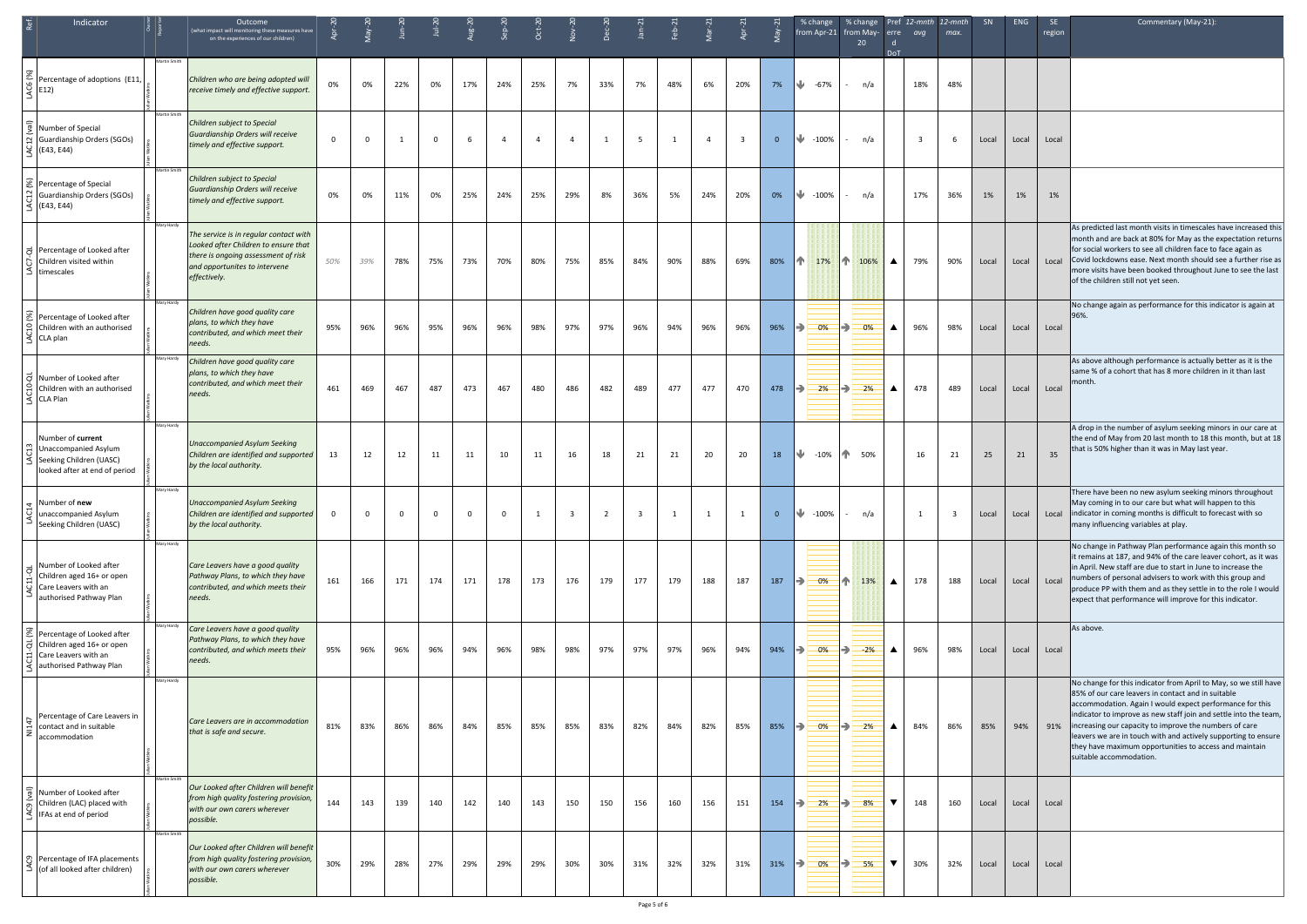| Indicator                                                                                                                          |              | Outcome<br>(what impact will monitoring these measures have<br>on the experiences of our children)                                                                     |             |          |          | $\overline{\phantom{a}}$ | $\mu$ guk | $sep-2$        | $Oct-20$       | $10v-2$        | $Dec-2$        | $Jan-2$ | $-91$ |                |                         |                | % change<br>% change<br>from Apr-21 from May-<br>20 | erre                 | Pref 12-mnth<br>avq | $12$ -mnth<br>max. | SN    | ENG   | <b>SE</b><br>region | Commentary (May-21):                                                                                                                                                                                                                                                                                                                                                                                                                                                    |
|------------------------------------------------------------------------------------------------------------------------------------|--------------|------------------------------------------------------------------------------------------------------------------------------------------------------------------------|-------------|----------|----------|--------------------------|-----------|----------------|----------------|----------------|----------------|---------|-------|----------------|-------------------------|----------------|-----------------------------------------------------|----------------------|---------------------|--------------------|-------|-------|---------------------|-------------------------------------------------------------------------------------------------------------------------------------------------------------------------------------------------------------------------------------------------------------------------------------------------------------------------------------------------------------------------------------------------------------------------------------------------------------------------|
| $\begin{bmatrix} 68 \\ 40 \\ 9 \\ 4 \end{bmatrix}$ Percentage of adoptions (E11,                                                   | Martin Smith | Children who are being adopted will<br>receive timely and effective support.                                                                                           | 0%          | 0%       | 22%      | 0%                       | 17%       | 24%            | 25%            | 7%             | 33%            | 7%      | 48%   | 6%             | 20%                     | 7%             | ₩<br>-67%<br>n/a                                    | <b>DoT</b>           | 18%                 | 48%                |       |       |                     |                                                                                                                                                                                                                                                                                                                                                                                                                                                                         |
| Number of Special<br>의 Guardianship Orders (SGOs)<br>$\frac{1}{5}$ (E43, E44)                                                      | Martin Smith | Children subject to Special<br>Guardianship Orders will receive<br>timely and effective support.                                                                       | $\mathbf 0$ | $\Omega$ | 1        | $\Omega$                 | -6        | $\overline{4}$ | $\overline{4}$ | $\overline{a}$ | 1              |         |       | $\overline{4}$ | $\overline{\mathbf{3}}$ | $\overline{0}$ | ₩<br>$-100%$<br>n/a<br>$\mathcal{L}_{\mathcal{A}}$  |                      | $\overline{3}$      | - 6                | Local | Local | Local               |                                                                                                                                                                                                                                                                                                                                                                                                                                                                         |
| $\mathcal{E}$ Percentage of Special<br>음 Guardianship Orders (SGOs)<br>$\frac{Q}{3}$ (E43, E44)                                    | Martin Smith | Children subject to Special<br>Guardianship Orders will receive<br>timely and effective support.                                                                       | 0%          | 0%       | 11%      | 0%                       | 25%       | 24%            | 25%            | 29%            | 8%             | 36%     | 5%    | 24%            | 20%                     | 0%             | $\frac{1}{2}$ -100%<br>n/a<br>$\sim 100$            |                      | 17%                 | 36%                | 1%    | 1%    | 1%                  |                                                                                                                                                                                                                                                                                                                                                                                                                                                                         |
| Percentage of Looked after<br>children visited within<br>$\leq$ timescales                                                         | Mary Hardy   | The service is in regular contact with<br>Looked after Children to ensure that<br>there is ongoing assessment of risk<br>and opportunites to intervene<br>effectively. | 50%         | 39%      | 78%      | 75%                      | 73%       | 70%            | 80%            | 75%            | 85%            | 84%     | 90%   | 88%            | 69%                     | 80%            | 17% 1 106%                                          | $\blacktriangle$     | 79%                 | 90%                | Local | Local |                     | As predicted last month visits in timescales have increased this<br>month and are back at 80% for May as the expectation returns<br>for social workers to see all children face to face again as<br>Local Covid lockdowns ease. Next month should see a further rise as<br>more visits have been booked throughout June to see the last<br>of the children still not yet seen.                                                                                          |
| Percentage of Looked after<br>$\left  \begin{array}{c} 2 \\ \end{array} \right $ Children with an authorised<br>$\leq$ CLA plan    | Mary Hardy   | Children have good quality care<br>plans, to which they have<br>contributed, and which meet their<br>needs.                                                            | 95%         | 96%      | 96%      | 95%                      | 96%       | 96%            | 98%            | 97%            | 97%            | 96%     | 94%   | 96%            | 96%                     | 96%            | $\Rightarrow$<br>0%<br>B)<br>0%                     | $\blacktriangle$     | 96%                 | 98%                | Local | Local | Local               | No change again as performance for this indicator is again at<br>96%.                                                                                                                                                                                                                                                                                                                                                                                                   |
| O Number of Looked after<br>$\sin$ Children with an authorised<br>$\leq$ CLA Plan                                                  | Mary Hardy   | Children have good quality care<br>plans, to which they have<br>contributed, and which meet their<br>needs.                                                            | 461         | 469      | 467      | 487                      | 473       | 467            | 480            | 486            | 482            | 489     | 477   | 477            | 470                     | 478            | $\mapsto$<br>2%<br>౹→<br>2%                         | $\blacktriangle$     | 478                 | 489                | Local | Local | Local               | As above although performance is actually better as it is the<br>same % of a cohort that has 8 more children in it than last<br>month.                                                                                                                                                                                                                                                                                                                                  |
| Number of current<br>음 Unaccompanied Asylum<br>Seeking Children (UASC)<br>looked after at end of period                            | Mary Hardy   | <b>Unaccompanied Asylum Seeking</b><br>Children are identified and supported<br>by the local authority.                                                                | 13          | 12       | 12       | 11                       | 11        | 10             | 11             | 16             | 18             | 21      | 21    | 20             | 20                      | 18             | ₩<br>$-10%$<br>1 50%                                |                      | 16                  | 21                 | 25    | 21    | 35                  | A drop in the number of asylum seeking minors in our care at<br>the end of May from 20 last month to 18 this month, but at 18<br>that is 50% higher than it was in May last year.                                                                                                                                                                                                                                                                                       |
| $\vert \downarrow \vert$ Number of new<br>dunaccompanied Asylum<br>Seeking Children (UASC)                                         | Mary Hardy   | <b>Unaccompanied Asylum Seeking</b><br>Children are identified and supported<br>by the local authority.                                                                | $\Omega$    | $\Omega$ | $\Omega$ | $\Omega$                 | $\Omega$  | 0              | - 1            | -3             | $\overline{2}$ |         |       |                |                         | $\mathbf{0}$   | ₩<br>$-100%$<br>n/a<br>$\sim$                       |                      |                     | -3                 | Local | Local | Local               | There have been no new asylum seeking minors throughout<br>May coming in to our care but what will happen to this<br>indicator in coming months is difficult to forecast with so<br>many influencing variables at play.                                                                                                                                                                                                                                                 |
| $\frac{1}{\alpha}$ Number of Looked after<br>Children aged 16+ or open<br>0 Care Leavers with an<br>$\leq$ authorised Pathway Plan | Mary Hardy   | Care Leavers have a good quality<br>Pathway Plans, to which they have<br>contributed, and which meets their<br>needs.                                                  | 161         | 166      | 171      | 174                      | 171       | 178            | 173            | 176            | 179            | 177     | 179   | 188            | 187                     | 187            | 0%<br>13%<br>I÷<br>ИN.                              | $\blacktriangle$     | 178                 | 188                | Local | Local | Local               | No change in Pathway Plan performance again this month so<br>it remains at 187, and 94% of the care leaver cohort, as it was<br>in April. New staff are due to start in June to increase the<br>numbers of personal advisers to work with this group and<br>produce PP with them and as they settle in to the role I would<br>expect that performance will improve for this indicator.                                                                                  |
| Percentage of Looked after<br>$\vec{\sigma}$ Children aged 16+ or open<br>급 Care Leavers with an<br>authorised Pathway Plan        | Mary Hardy   | Care Leavers have a good quality<br>Pathway Plans, to which they have<br>contributed, and which meets their<br>needs.                                                  | 95%         | 96%      | 96%      | 96%                      | 94%       | 96%            | 98%            | 98%            | 97%            | 97%     | 97%   | 96%            | 94%                     | 94%            | IÐ.<br>0%<br>౹⋺<br>$-2%$                            | $\blacktriangle$     | 96%                 | 98%                | Local | Local | Local               | As above.                                                                                                                                                                                                                                                                                                                                                                                                                                                               |
| Percentage of Care Leavers in<br>contact and in suitable<br>accommodation                                                          | Mary Hardy   | Care Leavers are in accommodation<br>that is safe and secure.                                                                                                          | 81%         | 83%      | 86%      | 86%                      | 84%       | 85%            | 85%            | 85%            | 83%            | 82%     | 84%   | 82%            | 85%                     | 85%            | $\Rightarrow$<br>0%<br>$\Rightarrow$<br>2%          | $\blacktriangle$     | 84%                 | 86%                | 85%   | 94%   | 91%                 | No change for this indicator from April to May, so we still have<br>85% of our care leavers in contact and in suitable<br>accommodation. Again I would expect performance for this<br>indicator to improve as new staff join and settle into the team,<br>increasing our capacity to improve the numbers of care<br>leavers we are in touch with and actively supporting to ensure<br>they have maximum opportunities to access and maintain<br>suitable accommodation. |
| ल Number of Looked after<br>$\widetilde{p}$ Children (LAC) placed with<br>$\leq$ IFAs at end of period                             | Martin Smith | Our Looked after Children will benefit<br>from high quality fostering provision,<br>with our own carers wherever<br>possible.                                          | 144         | 143      | 139      | 140                      | 142       | 140            | 143            | 150            | 150            | 156     | 160   | 156            | 151                     | 154            | 2%<br>$\Rightarrow$<br>$\Rightarrow$<br>8%          | $\blacktriangledown$ | 148                 | 160                | Local | Local | Local               |                                                                                                                                                                                                                                                                                                                                                                                                                                                                         |
| ္ပြာ Percentage of IFA placements<br>$\leq$ (of all looked after children)                                                         | Martin Smith | Our Looked after Children will benefit<br>from high quality fostering provision,<br>with our own carers wherever<br>possible.                                          | 30%         | 29%      | 28%      | 27%                      | 29%       | 29%            | 29%            | 30%            | 30%            | 31%     | 32%   | 32%            | 31%                     | 31%            | $\Rightarrow$<br>0%<br>$\Rightarrow$<br>5%          | $\blacktriangledown$ | 30%                 | 32%                | Local | Local | Local               |                                                                                                                                                                                                                                                                                                                                                                                                                                                                         |